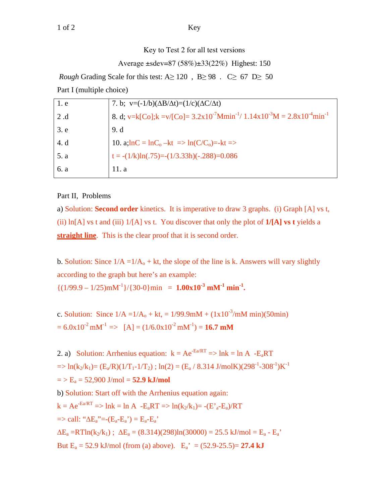Key to Test 2 for all test versions

Average ±sdev=87 (58%)±33(22%) Highest: 150

*Rough* Grading Scale for this test:  $A \ge 120$ ,  $B \ge 98$ .  $C \ge 67$  D $\ge 50$ Part I (multiple choice)

| 1. e | 7. b; $v=(-1/b)(\Delta B/\Delta t)=(1/c)(\Delta C/\Delta t)$                                                                         |
|------|--------------------------------------------------------------------------------------------------------------------------------------|
| 2 .d | 8. d; v=k[Co]; k =v/[Co]= $3.2 \times 10^{-7}$ Mmin <sup>-1</sup> / $1.14 \times 10^{-3}$ M = $2.8 \times 10^{-4}$ min <sup>-1</sup> |
| 3. e | 9. d                                                                                                                                 |
| 4. d | 10. $a; lnC = lnC_0 - kt \Rightarrow ln(C/C_0) = -kt \Rightarrow$                                                                    |
| 5. a | $t = -(1/k)ln(.75) = -(1/3.33h)(-.288) = 0.086$                                                                                      |
| 6. a | 11. a                                                                                                                                |

## Part II, Problems

a) Solution: **Second order** kinetics. It is imperative to draw 3 graphs. (i) Graph [A] vs t, (ii) ln[A] vs t and (iii) 1/[A] vs t. You discover that only the plot of **1/[A] vs t** yields a **straight line**. This is the clear proof that it is second order.

b. Solution: Since  $1/A = 1/A<sub>o</sub> + kt$ , the slope of the line is k. Answers will vary slightly according to the graph but here's an example:

 $\{(1/99.9 - 1/25) \text{m} \text{m}^{-1}\}/\{30-0\} \text{min} = 1.00 \text{x} 10^{-3} \text{m} \text{m}^{-1} \text{min}^{-1}.$ 

c. Solution: Since  $1/A = 1/A_0 + kt$ ,  $= 1/99.9 \text{m} + (1 \times 10^{-3} / \text{m} \text{m} \text{ min})(50 \text{min})$  $= 6.0x10^{-2}$  mM<sup>-1</sup> => [A] = (1/6.0x10<sup>-2</sup> mM<sup>-1</sup>) = **16.7 mM** 

2. a) Solution: Arrhenius equation:  $k = Ae^{-Ea/RT} \Rightarrow lnk = ln A - E_aRT$  $=$  ln(k<sub>2</sub>/k<sub>1</sub>) = (E<sub>a</sub>/R)(1/T<sub>1</sub>-1/T<sub>2</sub>); ln(2) = (E<sub>a</sub>/8.314 J/molK)(298<sup>-1</sup>-308<sup>-1</sup>)K<sup>-1</sup>  $=$  >  $E_a$  = 52,900 J/mol = **52.9 kJ/mol** b) Solution: Start off with the Arrhenius equation again:  $k = Ae^{-Ea/RT}$  => lnk = ln A -E<sub>a</sub>RT => ln(k<sub>2</sub>/k<sub>1</sub>)= -(E'<sub>a</sub>-E<sub>a</sub>)/RT  $\Rightarrow$  call: " $\Delta E_a$ "=- $(E_a - E_a) = E_a - E_a$ "  $\Delta E_a = RT \ln(k_2/k_1); \ \Delta E_a = (8.314)(298) \ln(30000) = 25.5 \text{ kJ/mol} = E_a - E_a'$ But  $E_a = 52.9$  kJ/mol (from (a) above).  $E_a' = (52.9 - 25.5) = 27.4$  kJ